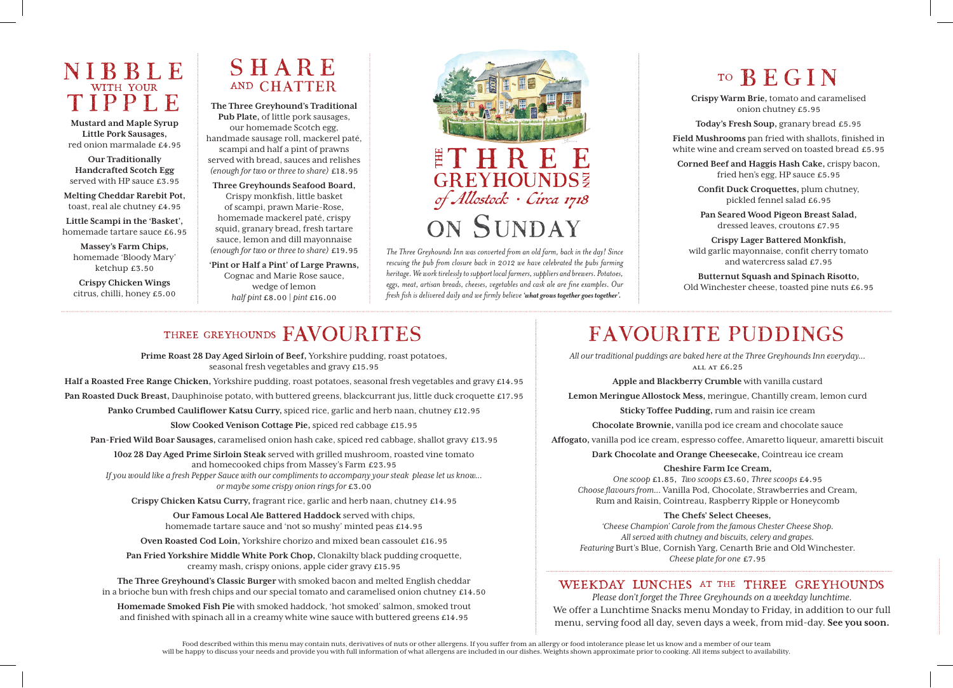### NIBBLE with your TIPPLE

**Mustard and Maple Syrup Little Pork Sausages,**  red onion marmalade £4.95

**Our Traditionally Handcrafted Scotch Egg**  served with HP sauce £3.95

**Melting Cheddar Rarebit Pot,** toast, real ale chutney £4.95 **Little Scampi in the 'Basket',** 

homemade tartare sauce £6.95

**Massey's Farm Chips,** homemade 'Bloody Mary' ketchup £3.50

**Crispy Chicken Wings** citrus, chilli, honey £5.00

### SHARE **AND CHATTER**

**The Three Greyhound's Traditional Pub Plate,** of little pork sausages, our homemade Scotch egg, handmade sausage roll, mackerel paté, scampi and half a pint of prawns served with bread, sauces and relishes *(enough for two or three to share)* £18.95

**Three Greyhounds Seafood Board,**  Crispy monkfish, little basket of scampi, prawn Marie-Rose, homemade mackerel paté, crispy squid, granary bread, fresh tartare sauce, lemon and dill mayonnaise *(enough for two or three to share)* £19.95

**'Pint or Half a Pint' of Large Prawns,** Cognac and Marie Rose sauce, wedge of lemon *half pint* £8.00 | *pint* £16.00



*The Three Greyhounds Inn was converted from an old farm, back in the day! Since rescuing the pub from closure back in 2012 we have celebrated the pubs farming heritage. We work tirelessly to support local farmers, suppliers and brewers. Potatoes, eggs, meat, artisan breads, cheeses, vegetables and cask ale are fine examples. Our fresh fish is delivered daily and we firmly believe 'what grows together goes together'.*

# to BEGIN

**Crispy Warm Brie,** tomato and caramelised onion chutney £5.95

**Today's Fresh Soup,** granary bread £5.95

**Field Mushrooms** pan fried with shallots, finished in white wine and cream served on toasted bread £5.95

**Corned Beef and Haggis Hash Cake,** crispy bacon, fried hen's egg, HP sauce £5.95

**Confit Duck Croquettes,** plum chutney, pickled fennel salad £6.95

**Pan Seared Wood Pigeon Breast Salad,**  dressed leaves, croutons £7.95

**Crispy Lager Battered Monkfish,**  wild garlic mayonnaise, confit cherry tomato and watercress salad £7.95

**Butternut Squash and Spinach Risotto,** Old Winchester cheese, toasted pine nuts £6.95

### THREE GREYHOUNDS FAVOURITES

**Prime Roast 28 Day Aged Sirloin of Beef,** Yorkshire pudding, roast potatoes, seasonal fresh vegetables and gravy £15.95

**Half a Roasted Free Range Chicken,** Yorkshire pudding, roast potatoes, seasonal fresh vegetables and gravy £14.95

**Pan Roasted Duck Breast,** Dauphinoise potato, with buttered greens, blackcurrant jus, little duck croquette £17.95

**Panko Crumbed Cauliflower Katsu Curry,** spiced rice, garlic and herb naan, chutney £12.95

**Slow Cooked Venison Cottage Pie,** spiced red cabbage £15.95

**Pan-Fried Wild Boar Sausages,** caramelised onion hash cake, spiced red cabbage, shallot gravy £13.95

**10oz 28 Day Aged Prime Sirloin Steak** served with grilled mushroom, roasted vine tomato and homecooked chips from Massey's Farm £23.95

*If you would like a fresh Pepper Sauce with our compliments to accompany your steak please let us know... or maybe some crispy onion rings for* £3.00

**Crispy Chicken Katsu Curry,** fragrant rice, garlic and herb naan, chutney £14.95

**Our Famous Local Ale Battered Haddock** served with chips, homemade tartare sauce and 'not so mushy' minted peas £14.95

**Oven Roasted Cod Loin,** Yorkshire chorizo and mixed bean cassoulet £16.95

**Pan Fried Yorkshire Middle White Pork Chop,** Clonakilty black pudding croquette, creamy mash, crispy onions, apple cider gravy £15.95

**The Three Greyhound's Classic Burger** with smoked bacon and melted English cheddar in a brioche bun with fresh chips and our special tomato and caramelised onion chutney £14.50

**Homemade Smoked Fish Pie** with smoked haddock, 'hot smoked' salmon, smoked trout and finished with spinach all in a creamy white wine sauce with buttered greens £14.95

# FAVOURITE PUDDINGS

*All our traditional puddings are baked here at the Three Greyhounds Inn everyday...*  all at £6.25

**Apple and Blackberry Crumble** with vanilla custard

**Lemon Meringue Allostock Mess,** meringue, Chantilly cream, lemon curd

**Sticky Toffee Pudding,** rum and raisin ice cream

**Chocolate Brownie,** vanilla pod ice cream and chocolate sauce

**Affogato,** vanilla pod ice cream, espresso coffee, Amaretto liqueur, amaretti biscuit

**Dark Chocolate and Orange Cheesecake,** Cointreau ice cream

#### **Cheshire Farm Ice Cream,**

*One scoop* £1.85, *Two scoops* £3.60, *Three scoops* £4.95 *Choose flavours from...* Vanilla Pod, Chocolate, Strawberries and Cream, Rum and Raisin, Cointreau, Raspberry Ripple or Honeycomb

#### **The Chefs' Select Cheeses,**

*'Cheese Champion' Carole from the famous Chester Cheese Shop. All served with chutney and biscuits, celery and grapes. Featuring* Burt's Blue, Cornish Yarg, Cenarth Brie and Old Winchester. *Cheese plate for one* £7.95

### weekday lunches at the three greyhounds

*Please don't forget the Three Greyhounds on a weekday lunchtime.*  We offer a Lunchtime Snacks menu Monday to Friday, in addition to our full menu, serving food all day, seven days a week, from mid-day. **See you soon.**

Food described within this menu may contain nuts, derivatives of nuts or other allergens. If you suffer from an allergy or food intolerance please let us know and a member of our team will be happy to discuss your needs and provide you with full information of what allergens are included in our dishes. Weights shown approximate prior to cooking. All items subject to availability.